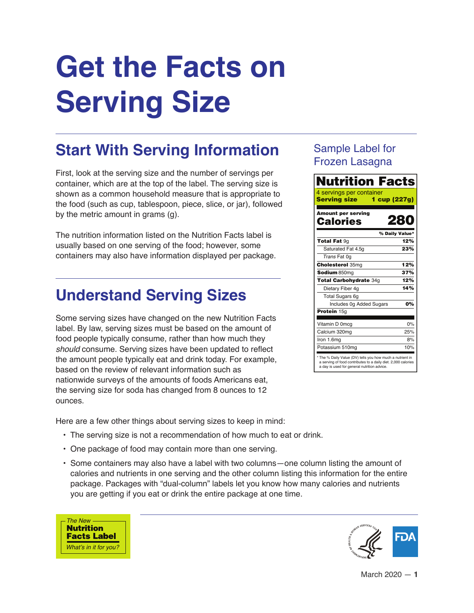# **Get the Facts on Serving Size**

## **Start With Serving Information**

First, look at the serving size and the number of servings per container, which are at the top of the label. The serving size is shown as a common household measure that is appropriate to the food (such as cup, tablespoon, piece, slice, or jar), followed by the metric amount in grams (g).

The nutrition information listed on the Nutrition Facts label is usually based on one serving of the food; however, some containers may also have information displayed per package.

## **Understand Serving Sizes**

Some serving sizes have changed on the new Nutrition Facts label. By law, serving sizes must be based on the amount of food people typically consume, rather than how much they *should* consume. Serving sizes have been updated to reflect the amount people typically eat and drink today. For example, based on the review of relevant information such as nationwide surveys of the amounts of foods Americans eat, the serving size for soda has changed from 8 ounces to 12 ounces.

Here are a few other things about serving sizes to keep in mind:

- The serving size is not a recommendation of how much to eat or drink.
- One package of food may contain more than one serving.
- Some containers may also have a label with two columns—one column listing the amount of calories and nutrients in one serving and the other column listing this information for the entire package. Packages with "dual-column" labels let you know how many calories and nutrients you are getting if you eat or drink the entire package at one time.



### Sample Label for Frozen Lasagna